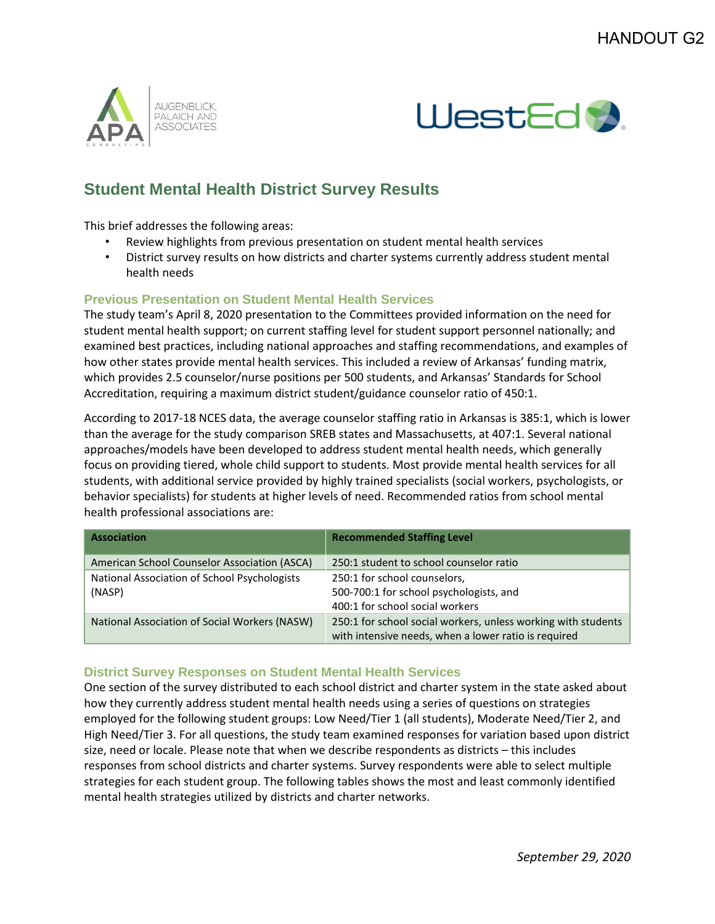



## **Student Mental Health District Survey Results**

This brief addresses the following areas:

- Review highlights from previous presentation on student mental health services
- District survey results on how districts and charter systems currently address student mental health needs

## **Previous Presentation on Student Mental Health Services**

The study team's April 8, 2020 presentation to the Committees provided information on the need for student mental health support; on current staffing level for student support personnel nationally; and examined best practices, including national approaches and staffing recommendations, and examples of how other states provide mental health services. This included a review of Arkansas' funding matrix, which provides 2.5 counselor/nurse positions per 500 students, and Arkansas' Standards for School Accreditation, requiring a maximum district student/guidance counselor ratio of 450:1.

According to 2017-18 NCES data, the average counselor staffing ratio in Arkansas is 385:1, which is lower than the average for the study comparison SREB states and Massachusetts, at 407:1. Several national approaches/models have been developed to address student mental health needs, which generally focus on providing tiered, whole child support to students. Most provide mental health services for all students, with additional service provided by highly trained specialists (social workers, psychologists, or behavior specialists) for students at higher levels of need. Recommended ratios from school mental health professional associations are:

| <b>Association</b>                            | <b>Recommended Staffing Level</b>                                                                                     |
|-----------------------------------------------|-----------------------------------------------------------------------------------------------------------------------|
| American School Counselor Association (ASCA)  | 250:1 student to school counselor ratio                                                                               |
| National Association of School Psychologists  | 250:1 for school counselors,                                                                                          |
| (NASP)                                        | 500-700:1 for school psychologists, and                                                                               |
|                                               | 400:1 for school social workers                                                                                       |
| National Association of Social Workers (NASW) | 250:1 for school social workers, unless working with students<br>with intensive needs, when a lower ratio is required |

## **District Survey Responses on Student Mental Health Services**

One section of the survey distributed to each school district and charter system in the state asked about how they currently address student mental health needs using a series of questions on strategies employed for the following student groups: Low Need/Tier 1 (all students), Moderate Need/Tier 2, and High Need/Tier 3. For all questions, the study team examined responses for variation based upon district size, need or locale. Please note that when we describe respondents as districts – this includes responses from school districts and charter systems. Survey respondents were able to select multiple strategies for each student group. The following tables shows the most and least commonly identified mental health strategies utilized by districts and charter networks.